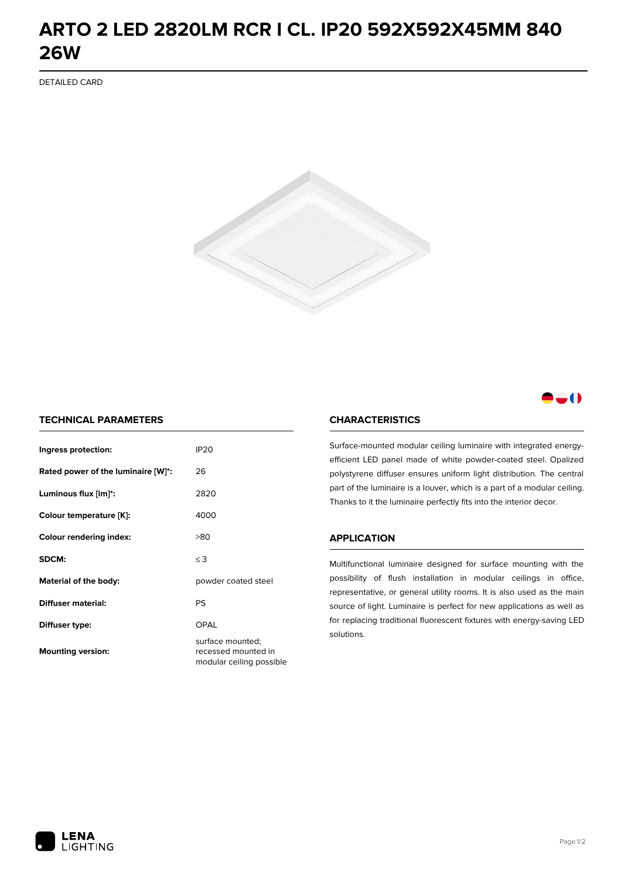## **ARTO 2 LED 2820LM RCR I CL. IP20 592X592X45MM 840 26W**

DETAILED CARD



### -0

#### **TECHNICAL PARAMETERS**

| Ingress protection:                | <b>IP20</b>                                                         |
|------------------------------------|---------------------------------------------------------------------|
| Rated power of the luminaire [W]*: | 26                                                                  |
| Luminous flux [lm]*:               | 2820                                                                |
| Colour temperature [K]:            | 4000                                                                |
| <b>Colour rendering index:</b>     | >80                                                                 |
| SDCM:                              | $\leq$ 3                                                            |
| Material of the body:              | powder coated steel                                                 |
| Diffuser material:                 | PS                                                                  |
| Diffuser type:                     | OPAL                                                                |
| <b>Mounting version:</b>           | surface mounted;<br>recessed mounted in<br>modular ceiling possible |

#### **CHARACTERISTICS**

Surface-mounted modular ceiling luminaire with integrated energyefficient LED panel made of white powder-coated steel. Opalized polystyrene diffuser ensures uniform light distribution. The central part of the luminaire is a louver, which is a part of a modular ceiling. Thanks to it the luminaire perfectly fits into the interior decor.

#### **APPLICATION**

Multifunctional luminaire designed for surface mounting with the possibility of flush installation in modular ceilings in office, representative, or general utility rooms. It is also used as the main source of light. Luminaire is perfect for new applications as well as for replacing traditional fluorescent fixtures with energy-saving LED solutions.